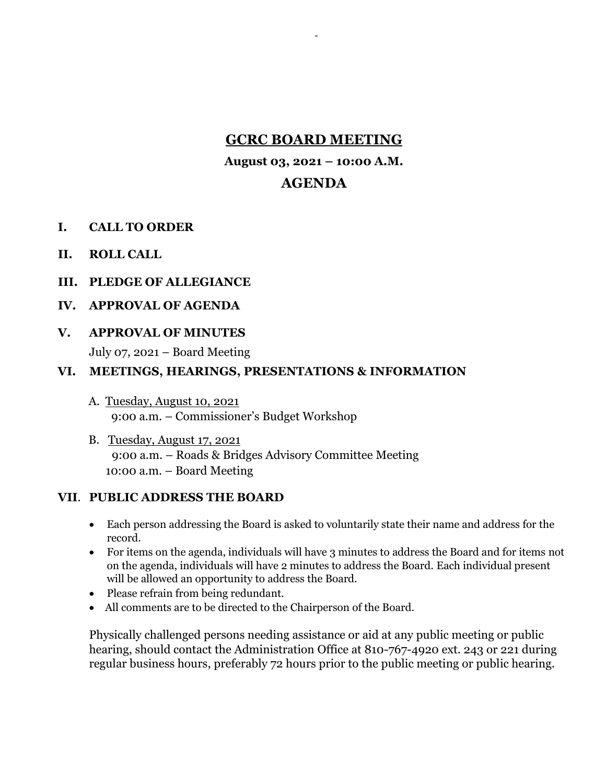# **GCRC BOARD MEETING**

-

**August 03, 2021 – 10:00 A.M.**

## **AGENDA**

- **I. CALL TO ORDER**
- **II. ROLL CALL**
- **III. PLEDGE OF ALLEGIANCE**

#### **IV. APPROVAL OF AGENDA**

**V. APPROVAL OF MINUTES** 

July 07, 2021 – Board Meeting

#### **VI. MEETINGS, HEARINGS, PRESENTATIONS & INFORMATION**

- A. Tuesday, August 10, 2021 9:00 a.m. – Commissioner's Budget Workshop
- B. Tuesday, August 17, 2021 9:00 a.m. – Roads & Bridges Advisory Committee Meeting 10:00 a.m. – Board Meeting

## **VII**. **PUBLIC ADDRESS THE BOARD**

- Each person addressing the Board is asked to voluntarily state their name and address for the record.
- For items on the agenda, individuals will have 3 minutes to address the Board and for items not on the agenda, individuals will have 2 minutes to address the Board. Each individual present will be allowed an opportunity to address the Board.
- Please refrain from being redundant.
- All comments are to be directed to the Chairperson of the Board.

Physically challenged persons needing assistance or aid at any public meeting or public hearing, should contact the Administration Office at 810-767-4920 ext. 243 or 221 during regular business hours, preferably 72 hours prior to the public meeting or public hearing.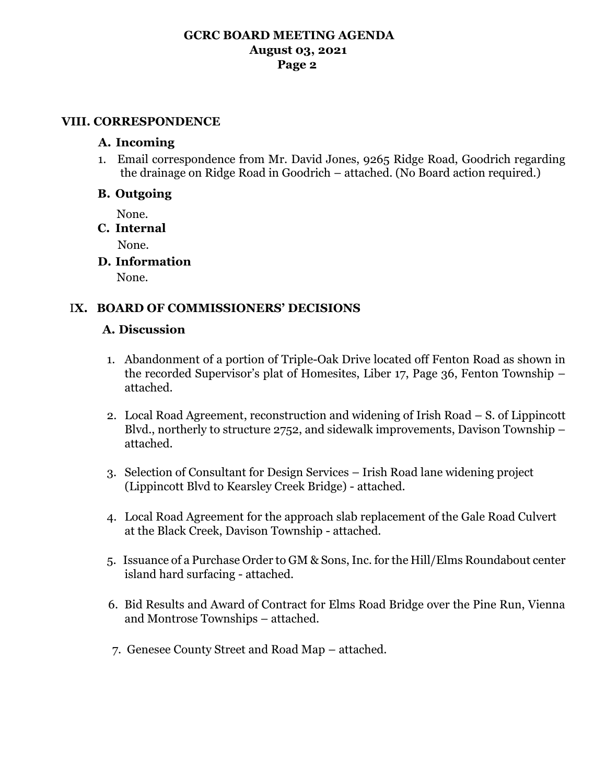## **GCRC BOARD MEETING AGENDA August 03, 2021 Page 2**

#### **VIII. CORRESPONDENCE**

#### **A. Incoming**

1. Email correspondence from Mr. David Jones, 9265 Ridge Road, Goodrich regarding the drainage on Ridge Road in Goodrich – attached. (No Board action required.)

#### **B. Outgoing**

None.

#### **C. Internal**

None.

**D. Information**

None.

## I**X. BOARD OF COMMISSIONERS' DECISIONS**

#### **A. Discussion**

- 1. Abandonment of a portion of Triple-Oak Drive located off Fenton Road as shown in the recorded Supervisor's plat of Homesites, Liber 17, Page 36, Fenton Township – attached.
- 2. Local Road Agreement, reconstruction and widening of Irish Road S. of Lippincott Blvd., northerly to structure 2752, and sidewalk improvements, Davison Township – attached.
- 3. Selection of Consultant for Design Services Irish Road lane widening project (Lippincott Blvd to Kearsley Creek Bridge) - attached.
- 4. Local Road Agreement for the approach slab replacement of the Gale Road Culvert at the Black Creek, Davison Township - attached.
- 5. Issuance of a Purchase Order to GM & Sons, Inc. for the Hill/Elms Roundabout center island hard surfacing - attached.
- 6. Bid Results and Award of Contract for Elms Road Bridge over the Pine Run, Vienna and Montrose Townships – attached.
- 7. Genesee County Street and Road Map attached.